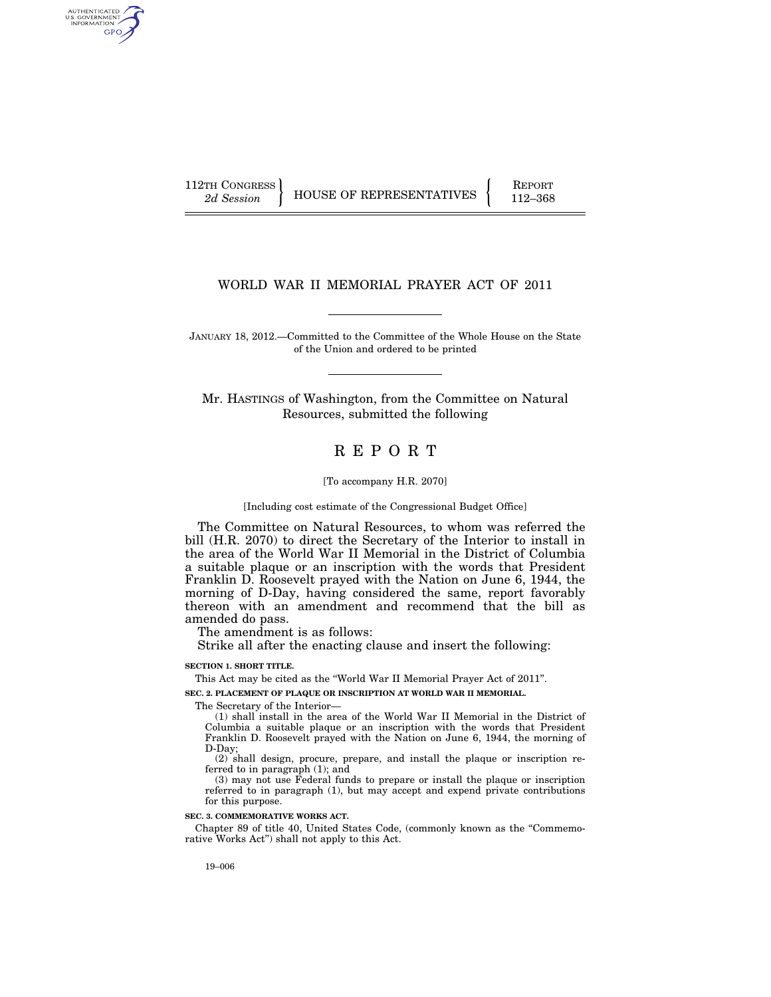AUTHENTICATED<br>U.S. GOVERNMENT<br>INFORMATION GPO

112TH CONGRESS HOUSE OF REPRESENTATIVES FEPORT 112–368

# WORLD WAR II MEMORIAL PRAYER ACT OF 2011

JANUARY 18, 2012.—Committed to the Committee of the Whole House on the State of the Union and ordered to be printed

Mr. HASTINGS of Washington, from the Committee on Natural Resources, submitted the following

# R E P O R T

#### [To accompany H.R. 2070]

[Including cost estimate of the Congressional Budget Office]

The Committee on Natural Resources, to whom was referred the bill (H.R. 2070) to direct the Secretary of the Interior to install in the area of the World War II Memorial in the District of Columbia a suitable plaque or an inscription with the words that President Franklin D. Roosevelt prayed with the Nation on June 6, 1944, the morning of D-Day, having considered the same, report favorably thereon with an amendment and recommend that the bill as amended do pass.

The amendment is as follows:

Strike all after the enacting clause and insert the following:

#### **SECTION 1. SHORT TITLE.**

This Act may be cited as the ''World War II Memorial Prayer Act of 2011''.

**SEC. 2. PLACEMENT OF PLAQUE OR INSCRIPTION AT WORLD WAR II MEMORIAL.** 

The Secretary of the Interior—

(1) shall install in the area of the World War II Memorial in the District of Columbia a suitable plaque or an inscription with the words that President Franklin D. Roosevelt prayed with the Nation on June 6, 1944, the morning of D-Day;

(2) shall design, procure, prepare, and install the plaque or inscription referred to in paragraph (1); and

(3) may not use Federal funds to prepare or install the plaque or inscription referred to in paragraph (1), but may accept and expend private contributions for this purpose.

## **SEC. 3. COMMEMORATIVE WORKS ACT.**

Chapter 89 of title 40, United States Code, (commonly known as the ''Commemorative Works Act'') shall not apply to this Act.

19–006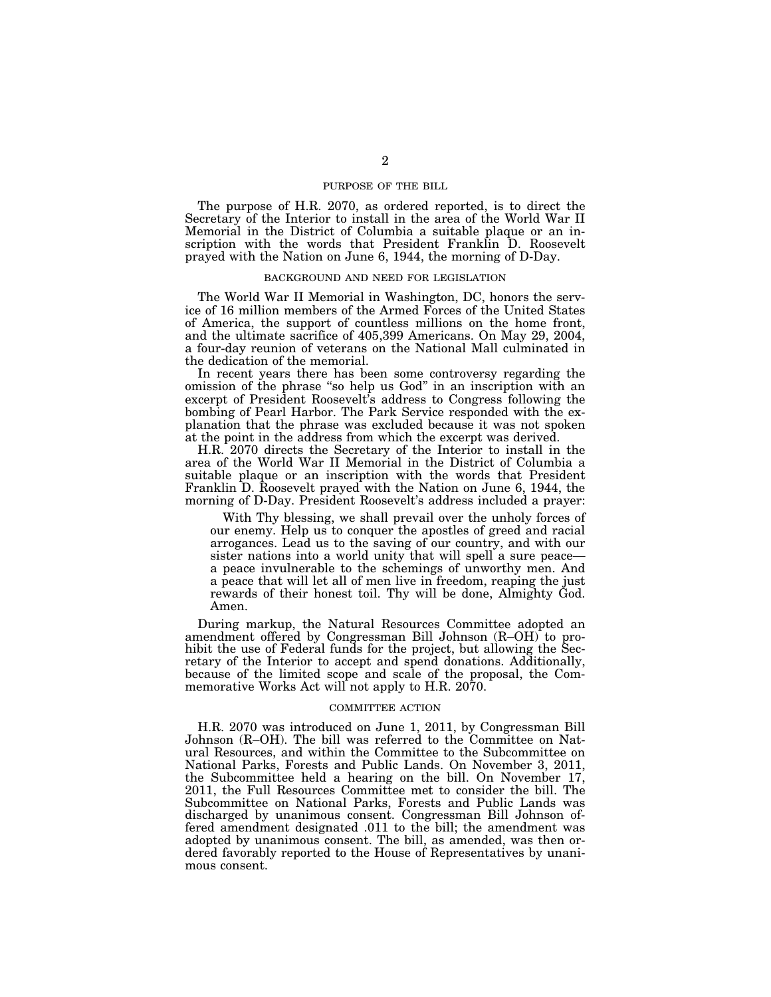### PURPOSE OF THE BILL

The purpose of H.R. 2070, as ordered reported, is to direct the Secretary of the Interior to install in the area of the World War II Memorial in the District of Columbia a suitable plaque or an inscription with the words that President Franklin D. Roosevelt prayed with the Nation on June 6, 1944, the morning of D-Day.

# BACKGROUND AND NEED FOR LEGISLATION

The World War II Memorial in Washington, DC, honors the service of 16 million members of the Armed Forces of the United States of America, the support of countless millions on the home front, and the ultimate sacrifice of 405,399 Americans. On May 29, 2004, a four-day reunion of veterans on the National Mall culminated in the dedication of the memorial.

In recent years there has been some controversy regarding the omission of the phrase ''so help us God'' in an inscription with an excerpt of President Roosevelt's address to Congress following the bombing of Pearl Harbor. The Park Service responded with the explanation that the phrase was excluded because it was not spoken at the point in the address from which the excerpt was derived.

H.R. 2070 directs the Secretary of the Interior to install in the area of the World War II Memorial in the District of Columbia a suitable plaque or an inscription with the words that President Franklin D. Roosevelt prayed with the Nation on June 6, 1944, the morning of D-Day. President Roosevelt's address included a prayer:

With Thy blessing, we shall prevail over the unholy forces of our enemy. Help us to conquer the apostles of greed and racial arrogances. Lead us to the saving of our country, and with our sister nations into a world unity that will spell a sure peace a peace invulnerable to the schemings of unworthy men. And a peace that will let all of men live in freedom, reaping the just rewards of their honest toil. Thy will be done, Almighty God. Amen.

During markup, the Natural Resources Committee adopted an amendment offered by Congressman Bill Johnson (R–OH) to prohibit the use of Federal funds for the project, but allowing the Secretary of the Interior to accept and spend donations. Additionally, because of the limited scope and scale of the proposal, the Commemorative Works Act will not apply to H.R. 2070.

#### COMMITTEE ACTION

H.R. 2070 was introduced on June 1, 2011, by Congressman Bill Johnson (R–OH). The bill was referred to the Committee on Natural Resources, and within the Committee to the Subcommittee on National Parks, Forests and Public Lands. On November 3, 2011, the Subcommittee held a hearing on the bill. On November 17, 2011, the Full Resources Committee met to consider the bill. The Subcommittee on National Parks, Forests and Public Lands was discharged by unanimous consent. Congressman Bill Johnson offered amendment designated .011 to the bill; the amendment was adopted by unanimous consent. The bill, as amended, was then ordered favorably reported to the House of Representatives by unanimous consent.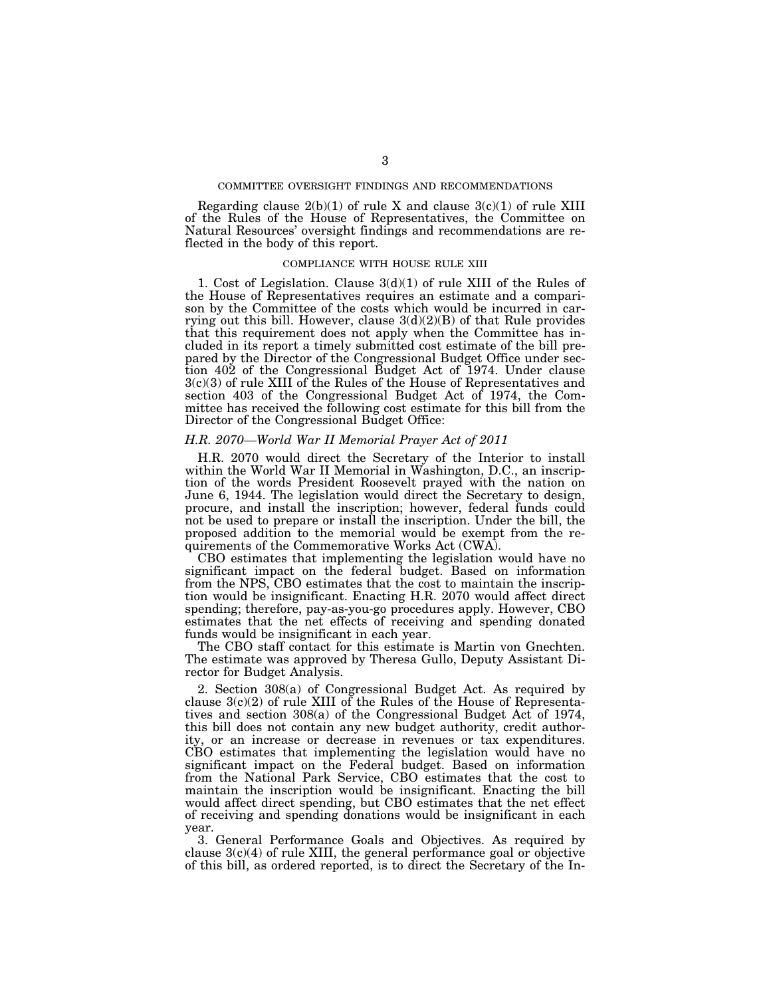## COMMITTEE OVERSIGHT FINDINGS AND RECOMMENDATIONS

Regarding clause  $2(b)(1)$  of rule X and clause  $3(c)(1)$  of rule XIII of the Rules of the House of Representatives, the Committee on Natural Resources' oversight findings and recommendations are reflected in the body of this report.

## COMPLIANCE WITH HOUSE RULE XIII

1. Cost of Legislation. Clause 3(d)(1) of rule XIII of the Rules of the House of Representatives requires an estimate and a comparison by the Committee of the costs which would be incurred in carrying out this bill. However, clause  $3(d)(2)(B)$  of that Rule provides that this requirement does not apply when the Committee has included in its report a timely submitted cost estimate of the bill prepared by the Director of the Congressional Budget Office under section 402 of the Congressional Budget Act of 1974. Under clause 3(c)(3) of rule XIII of the Rules of the House of Representatives and section 403 of the Congressional Budget Act of 1974, the Committee has received the following cost estimate for this bill from the Director of the Congressional Budget Office:

#### *H.R. 2070—World War II Memorial Prayer Act of 2011*

H.R. 2070 would direct the Secretary of the Interior to install within the World War II Memorial in Washington, D.C., an inscription of the words President Roosevelt prayed with the nation on June 6, 1944. The legislation would direct the Secretary to design, procure, and install the inscription; however, federal funds could not be used to prepare or install the inscription. Under the bill, the proposed addition to the memorial would be exempt from the requirements of the Commemorative Works Act (CWA).

CBO estimates that implementing the legislation would have no significant impact on the federal budget. Based on information from the NPS, CBO estimates that the cost to maintain the inscription would be insignificant. Enacting H.R. 2070 would affect direct spending; therefore, pay-as-you-go procedures apply. However, CBO estimates that the net effects of receiving and spending donated funds would be insignificant in each year.

The CBO staff contact for this estimate is Martin von Gnechten. The estimate was approved by Theresa Gullo, Deputy Assistant Director for Budget Analysis.

2. Section 308(a) of Congressional Budget Act. As required by clause  $3(c)(2)$  of rule XIII of the Rules of the House of Representatives and section 308(a) of the Congressional Budget Act of 1974, this bill does not contain any new budget authority, credit authority, or an increase or decrease in revenues or tax expenditures. CBO estimates that implementing the legislation would have no significant impact on the Federal budget. Based on information from the National Park Service, CBO estimates that the cost to maintain the inscription would be insignificant. Enacting the bill would affect direct spending, but CBO estimates that the net effect of receiving and spending donations would be insignificant in each year.

3. General Performance Goals and Objectives. As required by clause  $3(c)(4)$  of rule XIII, the general performance goal or objective of this bill, as ordered reported, is to direct the Secretary of the In